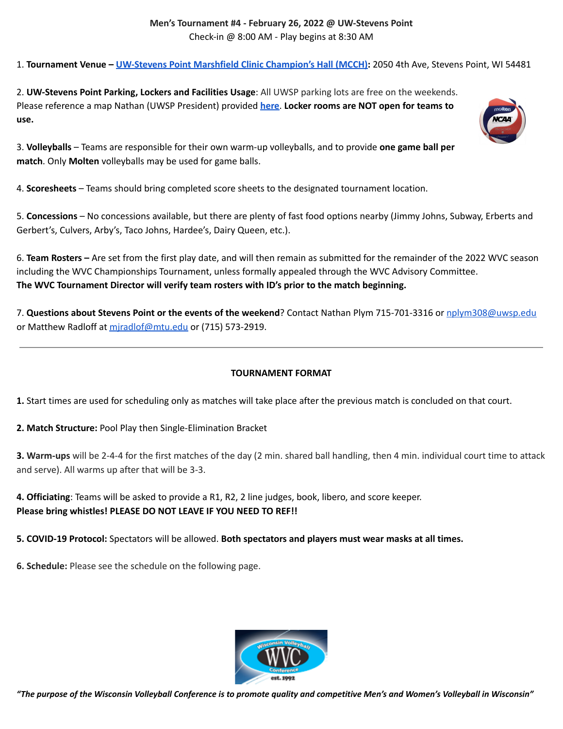## **Men's Tournament #4 - February 26, 2022 @ UW-Stevens Point** Check-in @ 8:00 AM - Play begins at 8:30 AM

1. **Tournament Venue – [UW-Stevens](https://goo.gl/maps/AqdcqS3Nk7VSsJzaA) Point Marshfield Clinic Champion's Hall (MCCH):** 2050 4th Ave, Stevens Point, WI 54481

2. **UW-Stevens Point Parking, Lockers and Facilities Usage**: All UWSP parking lots are free on the weekends. Please reference a map Nathan (UWSP President) provided **[here](https://drive.google.com/file/d/1oEQjrVVhf7Zw31mDFSDb25ZwDj6Awbqn/view?usp=sharing)**. **Locker rooms are NOT open for teams to use.**

3. **Volleyballs** – Teams are responsible for their own warm-up volleyballs, and to provide **one game ball per match**. Only **Molten** volleyballs may be used for game balls.

4. **Scoresheets** – Teams should bring completed score sheets to the designated tournament location.

5. **Concessions** – No concessions available, but there are plenty of fast food options nearby (Jimmy Johns, Subway, Erberts and Gerbert's, Culvers, Arby's, Taco Johns, Hardee's, Dairy Queen, etc.).

6. **Team Rosters –** Are set from the first play date, and will then remain as submitted for the remainder of the 2022 WVC season including the WVC Championships Tournament, unless formally appealed through the WVC Advisory Committee. **The WVC Tournament Director will verify team rosters with ID's prior to the match beginning.**

7. **Questions about Stevens Point or the events of the weekend**? Contact Nathan Plym 715-701-3316 or [nplym308@uwsp.edu](mailto:nplym308@uwsp.edu) or Matthew Radloff at miradlof@mtu.edu or (715) 573-2919.

## **TOURNAMENT FORMAT**

**1.** Start times are used for scheduling only as matches will take place after the previous match is concluded on that court.

**2. Match Structure:** Pool Play then Single-Elimination Bracket

**3. Warm-ups** will be 2-4-4 for the first matches of the day (2 min. shared ball handling, then 4 min. individual court time to attack and serve). All warms up after that will be 3-3.

**4. Officiating**: Teams will be asked to provide a R1, R2, 2 line judges, book, libero, and score keeper. **Please bring whistles! PLEASE DO NOT LEAVE IF YOU NEED TO REF!!**

**5. COVID-19 Protocol:** Spectators will be allowed. **Both spectators and players must wear masks at all times.**

**6. Schedule:** Please see the schedule on the following page.



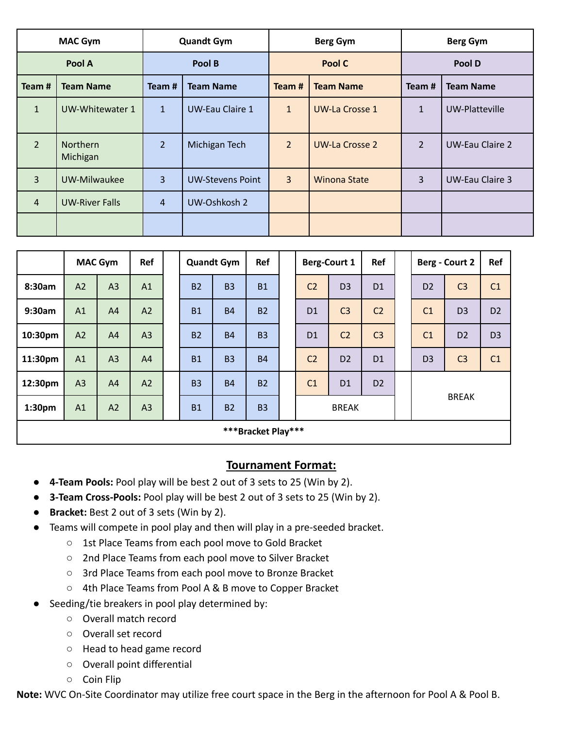| <b>MAC Gym</b> |                       |                | <b>Quandt Gym</b>       |                | <b>Berg Gym</b>     | <b>Berg Gym</b> |                        |  |  |
|----------------|-----------------------|----------------|-------------------------|----------------|---------------------|-----------------|------------------------|--|--|
| Pool A         |                       |                | Pool B                  |                | Pool C              | Pool D          |                        |  |  |
| Team#          | <b>Team Name</b>      | Team #         | <b>Team Name</b>        | Team#          | <b>Team Name</b>    | Team#           | <b>Team Name</b>       |  |  |
| $\mathbf{1}$   | UW-Whitewater 1       | $\mathbf{1}$   | <b>UW-Eau Claire 1</b>  | $\mathbf{1}$   | UW-La Crosse 1      | $\mathbf{1}$    | UW-Platteville         |  |  |
| $\overline{2}$ | Northern<br>Michigan  | $\overline{2}$ | Michigan Tech           | $\overline{2}$ | UW-La Crosse 2      | $\overline{2}$  | UW-Eau Claire 2        |  |  |
| $\overline{3}$ | UW-Milwaukee          | 3              | <b>UW-Stevens Point</b> | $\overline{3}$ | <b>Winona State</b> | 3               | <b>UW-Eau Claire 3</b> |  |  |
| $\overline{4}$ | <b>UW-River Falls</b> | $\overline{4}$ | UW-Oshkosh 2            |                |                     |                 |                        |  |  |
|                |                       |                |                         |                |                     |                 |                        |  |  |

|                    |    | <b>MAC Gym</b><br>Ref |                |  | <b>Quandt Gym</b> |           | Ref       |  | <b>Berg-Court 1</b>          |                | <b>Ref</b>     |  | Berg - Court 2 |                | <b>Ref</b>     |
|--------------------|----|-----------------------|----------------|--|-------------------|-----------|-----------|--|------------------------------|----------------|----------------|--|----------------|----------------|----------------|
| 8:30am             | A2 | A <sub>3</sub>        | A1             |  | <b>B2</b>         | <b>B3</b> | <b>B1</b> |  | C <sub>2</sub>               | D <sub>3</sub> | D <sub>1</sub> |  | D <sub>2</sub> | C <sub>3</sub> | C <sub>1</sub> |
| 9:30am             | A1 | A4                    | A2             |  | <b>B1</b>         | <b>B4</b> | <b>B2</b> |  | D <sub>1</sub>               | C <sub>3</sub> | C <sub>2</sub> |  | C <sub>1</sub> | D <sub>3</sub> | D <sub>2</sub> |
| 10:30pm            | A2 | A <sub>4</sub>        | A3             |  | <b>B2</b>         | <b>B4</b> | <b>B3</b> |  | D <sub>1</sub>               | C <sub>2</sub> | C <sub>3</sub> |  | C <sub>1</sub> | D <sub>2</sub> | D <sub>3</sub> |
| 11:30pm            | A1 | A <sub>3</sub>        | A4             |  | <b>B1</b>         | <b>B3</b> | <b>B4</b> |  | C <sub>2</sub>               | D <sub>2</sub> | D <sub>1</sub> |  | D <sub>3</sub> | C <sub>3</sub> | C1             |
| 12:30pm            | A3 | A <sub>4</sub>        | A2             |  | <b>B3</b>         | <b>B4</b> | <b>B2</b> |  | C <sub>1</sub>               | D <sub>1</sub> | D <sub>2</sub> |  |                |                |                |
| 1:30 <sub>pm</sub> | A1 | A2                    | A <sub>3</sub> |  | <b>B1</b>         | <b>B2</b> | <b>B3</b> |  | <b>BREAK</b><br><b>BREAK</b> |                |                |  |                |                |                |
| ***Bracket Play*** |    |                       |                |  |                   |           |           |  |                              |                |                |  |                |                |                |

## **Tournament Format:**

- **4-Team Pools:** Pool play will be best 2 out of 3 sets to 25 (Win by 2).
- **3-Team Cross-Pools:** Pool play will be best 2 out of 3 sets to 25 (Win by 2).
- **Bracket:** Best 2 out of 3 sets (Win by 2).
- Teams will compete in pool play and then will play in a pre-seeded bracket.
	- 1st Place Teams from each pool move to Gold Bracket
	- 2nd Place Teams from each pool move to Silver Bracket
	- 3rd Place Teams from each pool move to Bronze Bracket
	- 4th Place Teams from Pool A & B move to Copper Bracket
- Seeding/tie breakers in pool play determined by:
	- Overall match record
	- Overall set record
	- Head to head game record
	- Overall point differential
	- Coin Flip

**Note:** WVC On-Site Coordinator may utilize free court space in the Berg in the afternoon for Pool A & Pool B.